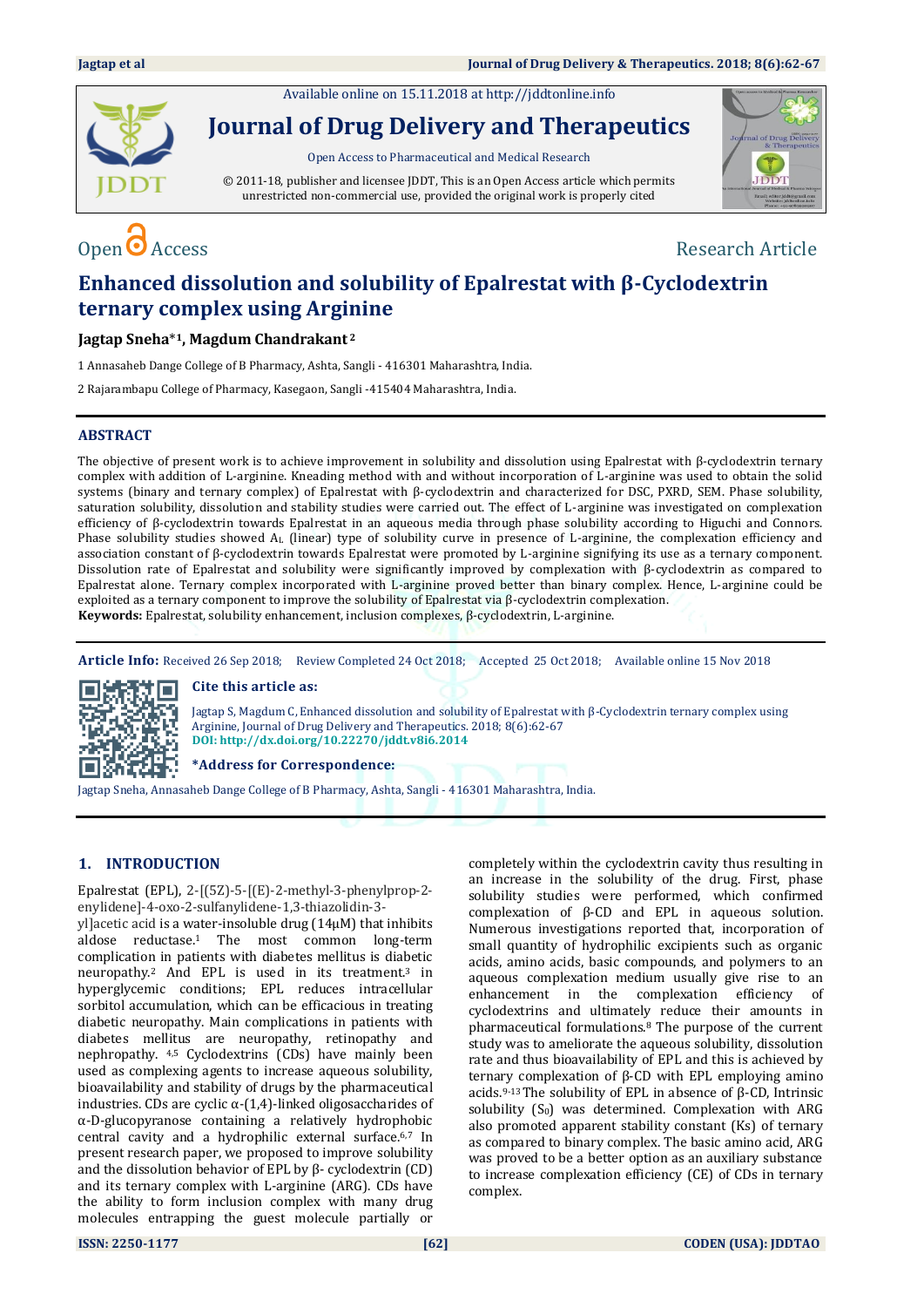Available online on 15.11.2018 a[t http://jddtonline.info](http://jddtonline.info/)



**Journal of Drug Delivery and Therapeutics**

Open Access to Pharmaceutical and Medical Research

© 2011-18, publisher and licensee JDDT, This is an Open Access article which permits unrestricted non-commercial use, provided the original work is properly cited



## Open  $\bullet$  Access Research Article

### **Enhanced dissolution and solubility of Epalrestat with β-Cyclodextrin ternary complex using Arginine**

**Jagtap Sneha**\* **<sup>1</sup>, Magdum Chandrakant <sup>2</sup>**

1 Annasaheb Dange College of B Pharmacy, Ashta, Sangli - 416301 Maharashtra, India.

2 Rajarambapu College of Pharmacy, Kasegaon, Sangli -415404 Maharashtra, India.

### **ABSTRACT**

The objective of present work is to achieve improvement in solubility and dissolution using Epalrestat with β-cyclodextrin ternary complex with addition of L-arginine. Kneading method with and without incorporation of L-arginine was used to obtain the solid systems (binary and ternary complex) of Epalrestat with β-cyclodextrin and characterized for DSC, PXRD, SEM. Phase solubility, saturation solubility, dissolution and stability studies were carried out. The effect of L-arginine was investigated on complexation efficiency of β-cyclodextrin towards Epalrestat in an aqueous media through phase solubility according to Higuchi and Connors. Phase solubility studies showed A<sup>L</sup> (linear) type of solubility curve in presence of L-arginine, the complexation efficiency and association constant of β-cyclodextrin towards Epalrestat were promoted by L-arginine signifying its use as a ternary component. Dissolution rate of Epalrestat and solubility were significantly improved by complexation with β-cyclodextrin as compared to Epalrestat alone. Ternary complex incorporated with L-arginine proved better than binary complex. Hence, L-arginine could be exploited as a ternary component to improve the solubility of Epalrestat via β-cyclodextrin complexation. **Keywords:** Epalrestat, solubility enhancement, inclusion complexes, β-cyclodextrin, L-arginine.

**Article Info:** Received 26 Sep 2018; Review Completed 24 Oct 2018; Accepted 25 Oct 2018; Available online 15 Nov 2018

# m.

**Cite this article as:** 

Jagtap S, Magdum C, Enhanced dissolution and solubility of Epalrestat with β-Cyclodextrin ternary complex using Arginine, Journal of Drug Delivery and Therapeutics. 2018; 8(6):62-67 **DOI: <http://dx.doi.org/10.22270/jddt.v8i6.2014>**

**\*Address for Correspondence:** 

Jagtap Sneha, Annasaheb Dange College of B Pharmacy, Ashta, Sangli - 416301 Maharashtra, India.

### **1. INTRODUCTION**

Epalrestat (EPL), 2-[(5Z)-5-[(E)-2-methyl-3-phenylprop-2 enylidene]-4-oxo-2-sulfanylidene-1,3-thiazolidin-3-

yl]acetic acid is a water-insoluble drug (14μM) that inhibits aldose reductase. <sup>1</sup> The most common long-term complication in patients with diabetes mellitus is diabetic neuropathy. <sup>2</sup> And EPL is used in its treatment. <sup>3</sup> in hyperglycemic conditions; EPL reduces intracellular sorbitol accumulation, which can be efficacious in treating diabetic neuropathy. Main complications in patients with diabetes mellitus are neuropathy, retinopathy and nephropathy. 4,5 Cyclodextrins (CDs) have mainly been used as complexing agents to increase aqueous solubility, bioavailability and stability of drugs by the pharmaceutical industries. CDs are cyclic  $\alpha$ -(1,4)-linked oligosaccharides of α-D-glucopyranose containing a relatively hydrophobic central cavity and a hydrophilic external surface.6,7 In present research paper, we proposed to improve solubility and the dissolution behavior of EPL by β- cyclodextrin (CD) and its ternary complex with L-arginine (ARG). CDs have the ability to form inclusion complex with many drug molecules entrapping the guest molecule partially or

completely within the cyclodextrin cavity thus resulting in an increase in the solubility of the drug. First, phase solubility studies were performed, which confirmed complexation of β-CD and EPL in aqueous solution. Numerous investigations reported that, incorporation of small quantity of hydrophilic excipients such as organic acids, amino acids, basic compounds, and polymers to an aqueous complexation medium usually give rise to an enhancement in the complexation efficiency of cyclodextrins and ultimately reduce their amounts in pharmaceutical formulations. <sup>8</sup> The purpose of the current study was to ameliorate the aqueous solubility, dissolution rate and thus bioavailability of EPL and this is achieved by ternary complexation of β-CD with EPL employing amino acids.9-13The solubility of EPL in absence of β-CD, Intrinsic solubility  $(S_0)$  was determined. Complexation with ARG also promoted apparent stability constant (Ks) of ternary as compared to binary complex. The basic amino acid, ARG was proved to be a better option as an auxiliary substance to increase complexation efficiency (CE) of CDs in ternary complex.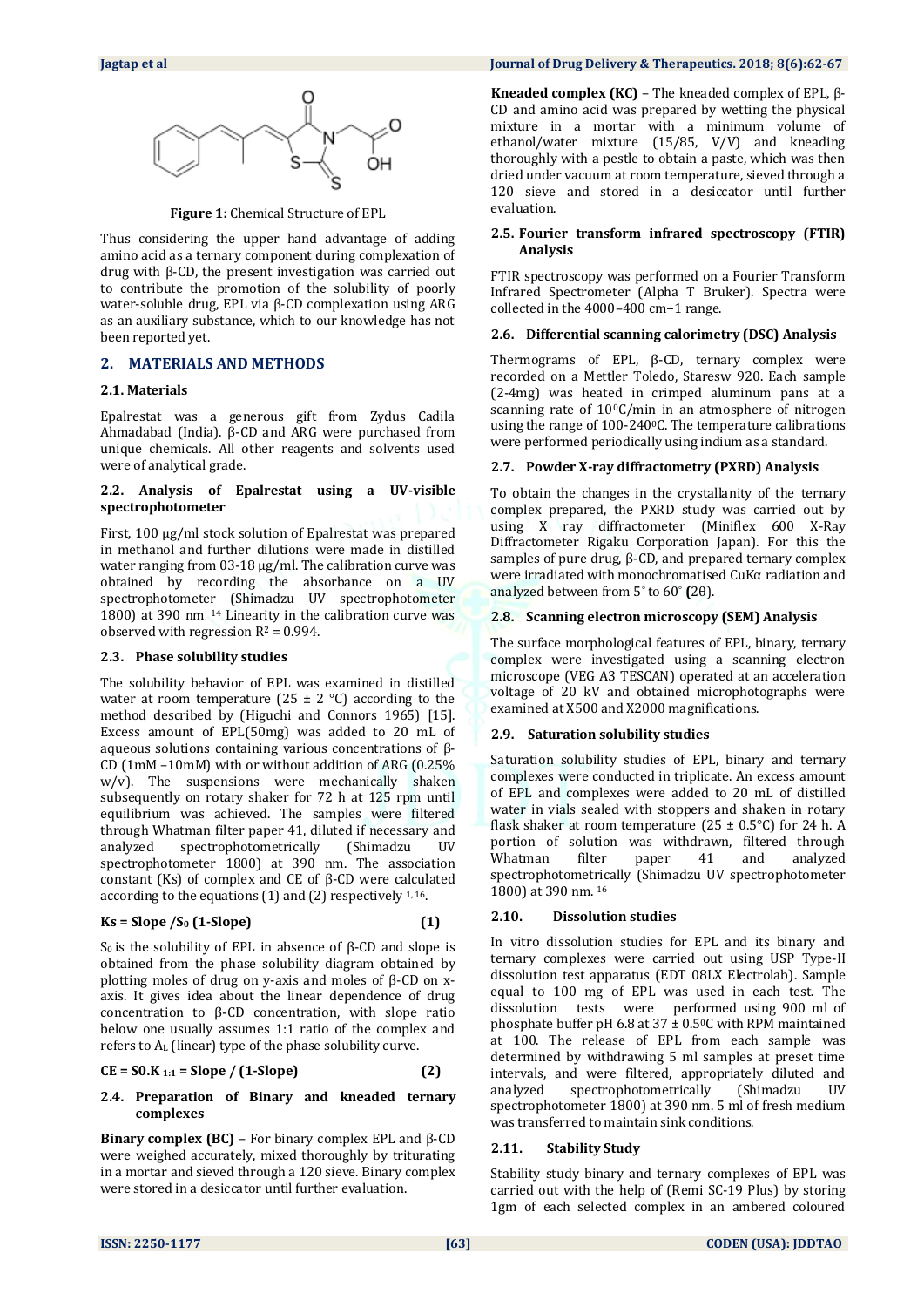

**Figure 1:** Chemical Structure of EPL

Thus considering the upper hand advantage of adding amino acid as a ternary component during complexation of drug with β-CD, the present investigation was carried out to contribute the promotion of the solubility of poorly water-soluble drug, EPL via β-CD complexation using ARG as an auxiliary substance, which to our knowledge has not been reported yet.

### **2. MATERIALS AND METHODS**

### **2.1. Materials**

Epalrestat was a generous gift from Zydus Cadila Ahmadabad (India). β-CD and ARG were purchased from unique chemicals. All other reagents and solvents used were of analytical grade.

### **2.2. Analysis of Epalrestat using a UV-visible spectrophotometer**

First, 100 µg/ml stock solution of Epalrestat was prepared in methanol and further dilutions were made in distilled water ranging from 03-18  $\mu$ g/ml. The calibration curve was obtained by recording the absorbance on a UV spectrophotometer (Shimadzu UV spectrophotometer 1800) at 390 nm. <sup>14</sup> Linearity in the calibration curve was observed with regression  $R^2 = 0.994$ .

### **2.3. Phase solubility studies**

The solubility behavior of EPL was examined in distilled water at room temperature (25  $\pm$  2 °C) according to the method described by (Higuchi and Connors 1965) [15]. Excess amount of EPL(50mg) was added to 20 mL of aqueous solutions containing various concentrations of β-CD (1mM –10mM) with or without addition of ARG (0.25% w/v). The suspensions were mechanically shaken subsequently on rotary shaker for 72 h at 125 rpm until equilibrium was achieved. The samples were filtered through Whatman filter paper 41, diluted if necessary and analyzed spectrophotometrically (Shimadzu UV spectrophotometer 1800) at 390 nm. The association constant (Ks) of complex and CE of β-CD were calculated according to the equations (1) and (2) respectively 1, 16.

$$
Ks = \text{Slope } / S_0 \text{ (1-Slope)} \tag{1}
$$

S<sub>0</sub> is the solubility of EPL in absence of β-CD and slope is obtained from the phase solubility diagram obtained by plotting moles of drug on y-axis and moles of β-CD on xaxis. It gives idea about the linear dependence of drug concentration to β-CD concentration, with slope ratio below one usually assumes 1:1 ratio of the complex and refers to A<sup>L</sup> (linear) type of the phase solubility curve.

$$
CE = SO.K_{1:1} = Slope / (1-Slope)
$$
 (2)

### **2.4. Preparation of Binary and kneaded ternary complexes**

**Binary complex (BC)** – For binary complex EPL and β-CD were weighed accurately, mixed thoroughly by triturating in a mortar and sieved through a 120 sieve. Binary complex were stored in a desiccator until further evaluation.

### **Jagtap et al Journal of Drug Delivery & Therapeutics. 2018; 8(6):62-67**

**Kneaded complex (KC)** – The kneaded complex of EPL, β-CD and amino acid was prepared by wetting the physical mixture in a mortar with a minimum volume of ethanol/water mixture (15/85, V/V) and kneading thoroughly with a pestle to obtain a paste, which was then dried under vacuum at room temperature, sieved through a 120 sieve and stored in a desiccator until further evaluation.

### **2.5. Fourier transform infrared spectroscopy (FTIR) Analysis**

FTIR spectroscopy was performed on a Fourier Transform Infrared Spectrometer (Alpha T Bruker). Spectra were collected in the 4000–400 cm−1 range.

### **2.6. Differential scanning calorimetry (DSC) Analysis**

Thermograms of EPL, β-CD, ternary complex were recorded on a Mettler Toledo, Staresw 920. Each sample (2-4mg) was heated in crimped aluminum pans at a scanning rate of  $10^{\circ}$ C/min in an atmosphere of nitrogen using the range of 100-2400C. The temperature calibrations were performed periodically using indium as a standard.

### **2.7. Powder X-ray diffractometry (PXRD) Analysis**

To obtain the changes in the crystallanity of the ternary complex prepared, the PXRD study was carried out by using X ray diffractometer (Miniflex 600 X-Ray Diffractometer Rigaku Corporation Japan). For this the samples of pure drug, β-CD, and prepared ternary complex were irradiated with monochromatised CuKα radiation and analyzed between from 5° to 60° **(**2θ).

### **2.8. Scanning electron microscopy (SEM) Analysis**

The surface morphological features of EPL, binary, ternary complex were investigated using a scanning electron microscope (VEG A3 TESCAN) operated at an acceleration voltage of 20 kV and obtained microphotographs were examined at X500 and X2000 magnifications.

### **2.9. Saturation solubility studies**

Saturation solubility studies of EPL, binary and ternary complexes were conducted in triplicate. An excess amount of EPL and complexes were added to 20 mL of distilled water in vials sealed with stoppers and shaken in rotary flask shaker at room temperature (25  $\pm$  0.5°C) for 24 h. A portion of solution was withdrawn, filtered through Whatman filter paper 41 and analyzed spectrophotometrically (Shimadzu UV spectrophotometer 1800) at 390 nm. <sup>16</sup>

### **2.10. Dissolution studies**

In vitro dissolution studies for EPL and its binary and ternary complexes were carried out using USP Type-II dissolution test apparatus (EDT 08LX Electrolab). Sample equal to 100 mg of EPL was used in each test. The dissolution tests were performed using 900 ml of phosphate buffer pH 6.8 at  $37 \pm 0.5$ °C with RPM maintained at 100. The release of EPL from each sample was determined by withdrawing 5 ml samples at preset time intervals, and were filtered, appropriately diluted and analyzed spectrophotometrically (Shimadzu UV spectrophotometer 1800) at 390 nm. 5 ml of fresh medium was transferred to maintain sink conditions.

### **2.11. Stability Study**

Stability study binary and ternary complexes of EPL was carried out with the help of (Remi SC-19 Plus) by storing 1gm of each selected complex in an ambered coloured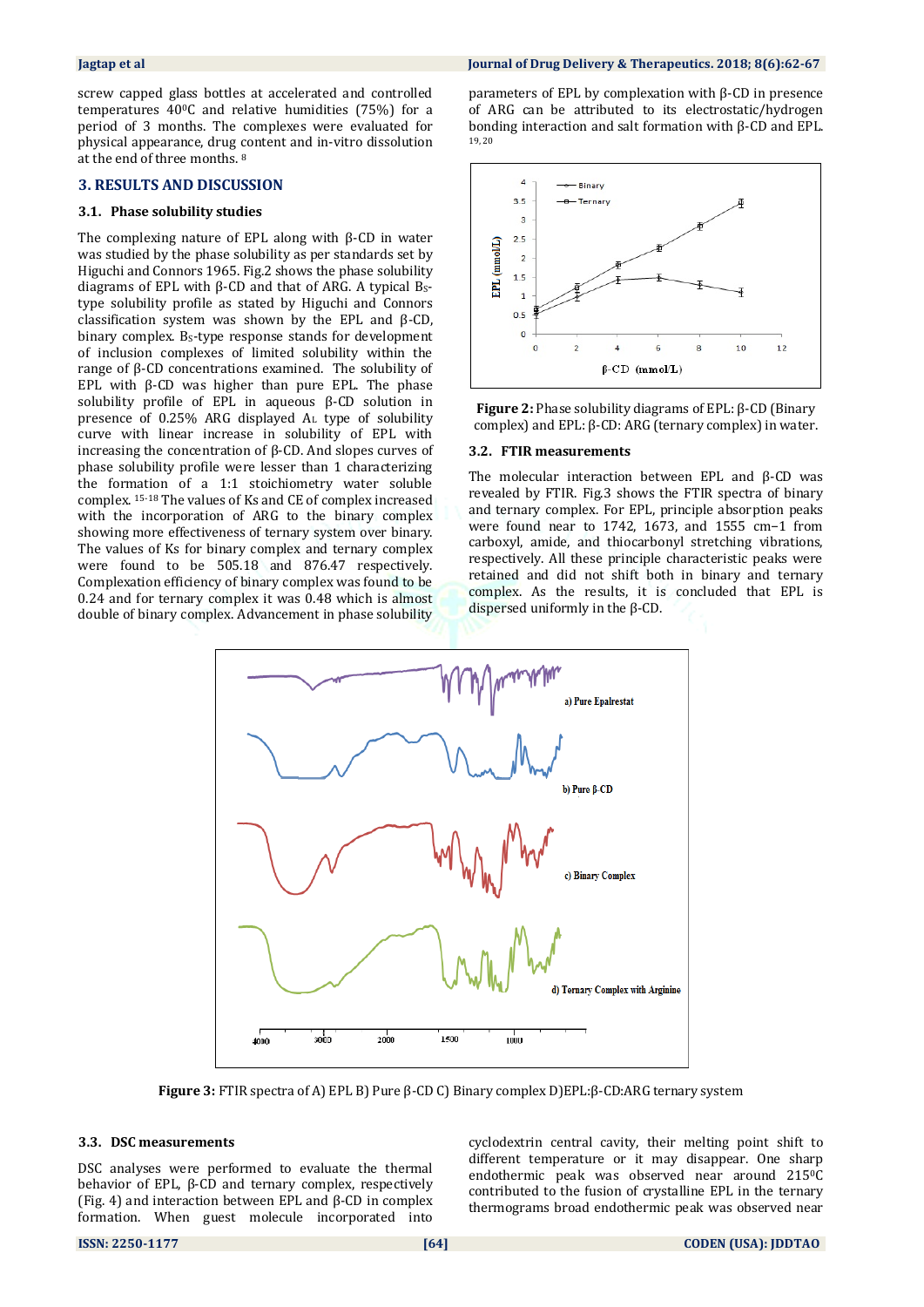screw capped glass bottles at accelerated and controlled temperatures 400C and relative humidities (75%) for a period of 3 months. The complexes were evaluated for physical appearance, drug content and in-vitro dissolution at the end of three months. <sup>8</sup>

### **3. RESULTS AND DISCUSSION**

### **3.1. Phase solubility studies**

The complexing nature of EPL along with β-CD in water was studied by the phase solubility as per standards set by Higuchi and Connors 1965. Fig.2 shows the phase solubility diagrams of EPL with β-CD and that of ARG. A typical  $B_s$ type solubility profile as stated by Higuchi and Connors classification system was shown by the EPL and β-CD, binary complex. BS-type response stands for development of inclusion complexes of limited solubility within the range of β-CD concentrations examined. The solubility of EPL with  $β$ -CD was higher than pure EPL. The phase solubility profile of EPL in aqueous β-CD solution in presence of  $0.25\%$  ARG displayed  $A<sub>L</sub>$  type of solubility curve with linear increase in solubility of EPL with increasing the concentration of β-CD. And slopes curves of phase solubility profile were lesser than 1 characterizing the formation of a 1:1 stoichiometry water soluble complex. 15-18 The values of Ks and CE of complex increased with the incorporation of ARG to the binary complex showing more effectiveness of ternary system over binary. The values of Ks for binary complex and ternary complex were found to be 505.18 and 876.47 respectively. Complexation efficiency of binary complex was found to be 0.24 and for ternary complex it was 0.48 which is almost double of binary complex. Advancement in phase solubility parameters of EPL by complexation with β-CD in presence of ARG can be attributed to its electrostatic/hydrogen bonding interaction and salt formation with β-CD and EPL. 19, 20





### **3.2. FTIR measurements**

The molecular interaction between EPL and  $β$ -CD was revealed by FTIR. Fig.3 shows the FTIR spectra of binary and ternary complex. For EPL, principle absorption peaks were found near to 1742, 1673, and 1555 cm−1 from carboxyl, amide, and thiocarbonyl stretching vibrations, respectively. All these principle characteristic peaks were retained and did not shift both in binary and ternary complex. As the results, it is concluded that EPL is dispersed uniformly in the β-CD.



**Figure 3:** FTIR spectra of A) EPL B) Pure β-CD C) Binary complex D)EPL:β-CD:ARG ternary system

### **3.3. DSC measurements**

DSC analyses were performed to evaluate the thermal behavior of EPL, β-CD and ternary complex, respectively (Fig. 4) and interaction between EPL and β-CD in complex formation. When guest molecule incorporated into cyclodextrin central cavity, their melting point shift to different temperature or it may disappear. One sharp endothermic peak was observed near around 215°C contributed to the fusion of crystalline EPL in the ternary thermograms broad endothermic peak was observed near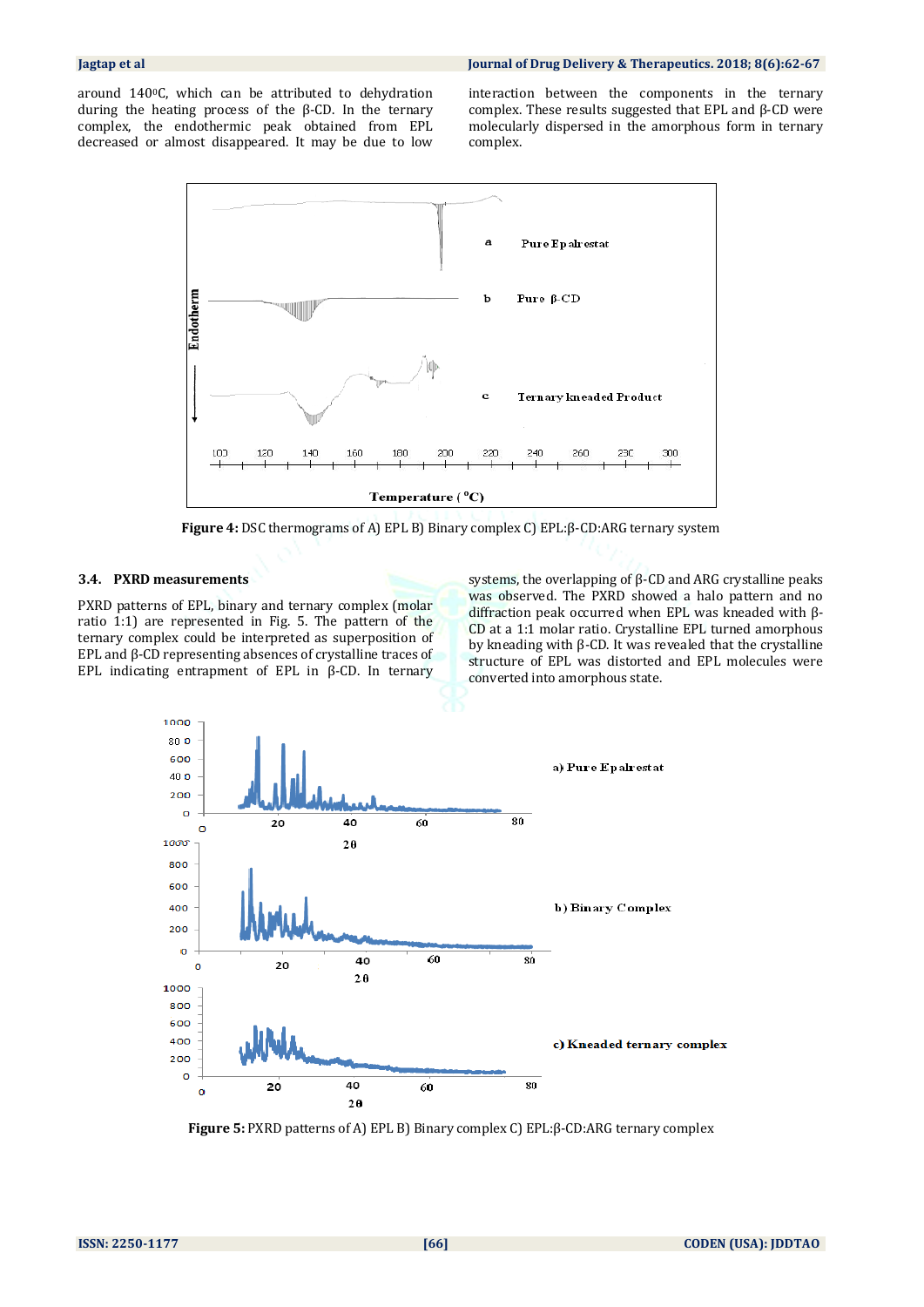around 1400C, which can be attributed to dehydration during the heating process of the β-CD. In the ternary complex, the endothermic peak obtained from EPL decreased or almost disappeared. It may be due to low interaction between the components in the ternary complex. These results suggested that EPL and β-CD were molecularly dispersed in the amorphous form in ternary complex.



**Figure 4:** DSC thermograms of A) EPL B) Binary complex C) EPL:β-CD:ARG ternary system

### **3.4. PXRD measurements**

PXRD patterns of EPL, binary and ternary complex (molar ratio 1:1) are represented in Fig. 5. The pattern of the ternary complex could be interpreted as superposition of EPL and β-CD representing absences of crystalline traces of EPL indicating entrapment of EPL in β-CD. In ternary

systems, the overlapping of β-CD and ARG crystalline peaks was observed. The PXRD showed a halo pattern and no diffraction peak occurred when EPL was kneaded with β-CD at a 1:1 molar ratio. Crystalline EPL turned amorphous by kneading with β-CD. It was revealed that the crystalline structure of EPL was distorted and EPL molecules were converted into amorphous state.



**Figure 5:** PXRD patterns of A) EPL B) Binary complex C) EPL:β-CD:ARG ternary complex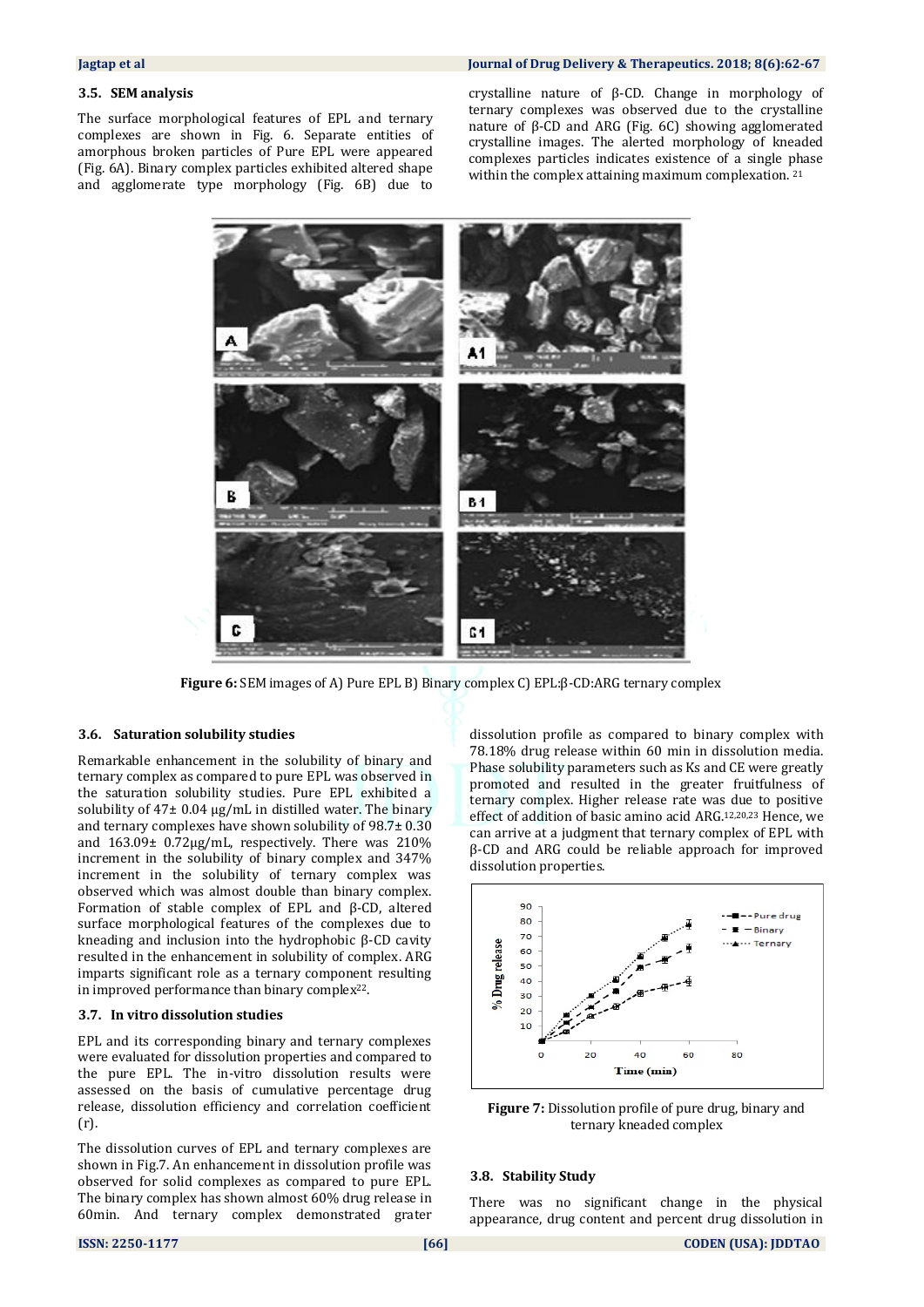### **3.5. SEM analysis**

The surface morphological features of EPL and ternary complexes are shown in Fig. 6. Separate entities of amorphous broken particles of Pure EPL were appeared (Fig. 6A). Binary complex particles exhibited altered shape and agglomerate type morphology (Fig. 6B) due to

### **Jagtap et al Journal of Drug Delivery & Therapeutics. 2018; 8(6):62-67**

crystalline nature of β-CD. Change in morphology of ternary complexes was observed due to the crystalline nature of β-CD and ARG (Fig. 6C) showing agglomerated crystalline images. The alerted morphology of kneaded complexes particles indicates existence of a single phase within the complex attaining maximum complexation. 21



**Figure 6:** SEM images of A) Pure EPL B) Binary complex C) EPL:β-CD:ARG ternary complex

### **3.6. Saturation solubility studies**

Remarkable enhancement in the solubility of binary and ternary complex as compared to pure EPL was observed in the saturation solubility studies. Pure EPL exhibited a solubility of  $47\pm0.04$  µg/mL in distilled water. The binary and ternary complexes have shown solubility of 98.7± 0.30 and 163.09± 0.72µg/mL, respectively. There was 210% increment in the solubility of binary complex and 347% increment in the solubility of ternary complex was observed which was almost double than binary complex. Formation of stable complex of EPL and β-CD, altered surface morphological features of the complexes due to kneading and inclusion into the hydrophobic β-CD cavity resulted in the enhancement in solubility of complex. ARG imparts significant role as a ternary component resulting in improved performance than binary complex22.

### **3.7. In vitro dissolution studies**

EPL and its corresponding binary and ternary complexes were evaluated for dissolution properties and compared to the pure EPL. The in-vitro dissolution results were assessed on the basis of cumulative percentage drug release, dissolution efficiency and correlation coefficient (r).

The dissolution curves of EPL and ternary complexes are shown in Fig.7. An enhancement in dissolution profile was observed for solid complexes as compared to pure EPL. The binary complex has shown almost 60% drug release in 60min. And ternary complex demonstrated grater dissolution profile as compared to binary complex with 78.18% drug release within 60 min in dissolution media. Phase solubility parameters such as Ks and CE were greatly promoted and resulted in the greater fruitfulness of ternary complex. Higher release rate was due to positive effect of addition of basic amino acid ARG. 12,20,23 Hence, we can arrive at a judgment that ternary complex of EPL with β-CD and ARG could be reliable approach for improved dissolution properties.



**Figure 7:** Dissolution profile of pure drug, binary and ternary kneaded complex

### **3.8. Stability Study**

There was no significant change in the physical appearance, drug content and percent drug dissolution in